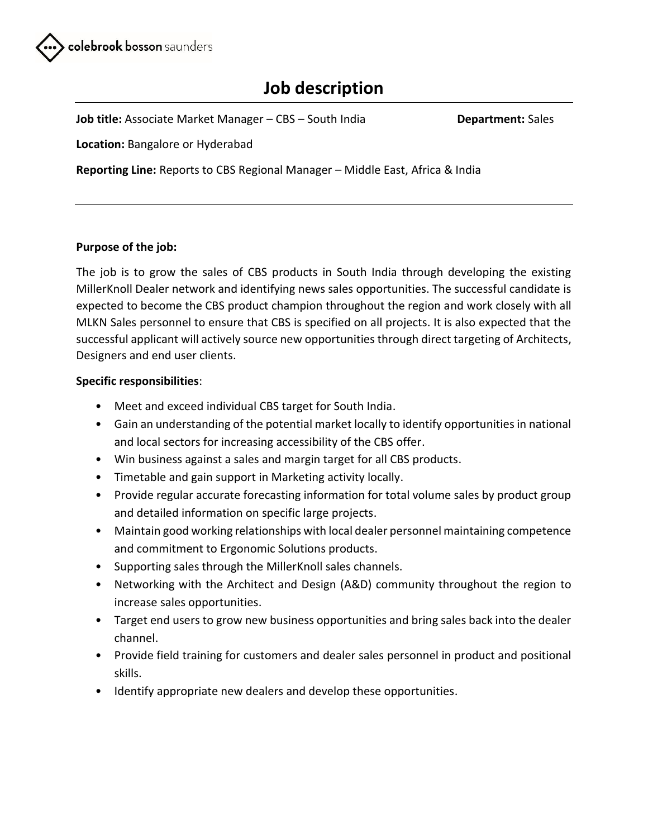

# **Job description**

**Job title:** Associate Market Manager – CBS – South India **Department:** Sales

**Location:** Bangalore or Hyderabad

**Reporting Line:** Reports to CBS Regional Manager – Middle East, Africa & India

## **Purpose of the job:**

The job is to grow the sales of CBS products in South India through developing the existing MillerKnoll Dealer network and identifying news sales opportunities. The successful candidate is expected to become the CBS product champion throughout the region and work closely with all MLKN Sales personnel to ensure that CBS is specified on all projects. It is also expected that the successful applicant will actively source new opportunities through direct targeting of Architects, Designers and end user clients.

## **Specific responsibilities**:

- Meet and exceed individual CBS target for South India.
- Gain an understanding of the potential market locally to identify opportunities in national and local sectors for increasing accessibility of the CBS offer.
- Win business against a sales and margin target for all CBS products.
- Timetable and gain support in Marketing activity locally.
- Provide regular accurate forecasting information for total volume sales by product group and detailed information on specific large projects.
- Maintain good working relationships with local dealer personnel maintaining competence and commitment to Ergonomic Solutions products.
- Supporting sales through the MillerKnoll sales channels.
- Networking with the Architect and Design (A&D) community throughout the region to increase sales opportunities.
- Target end users to grow new business opportunities and bring sales back into the dealer channel.
- Provide field training for customers and dealer sales personnel in product and positional skills.
- Identify appropriate new dealers and develop these opportunities.